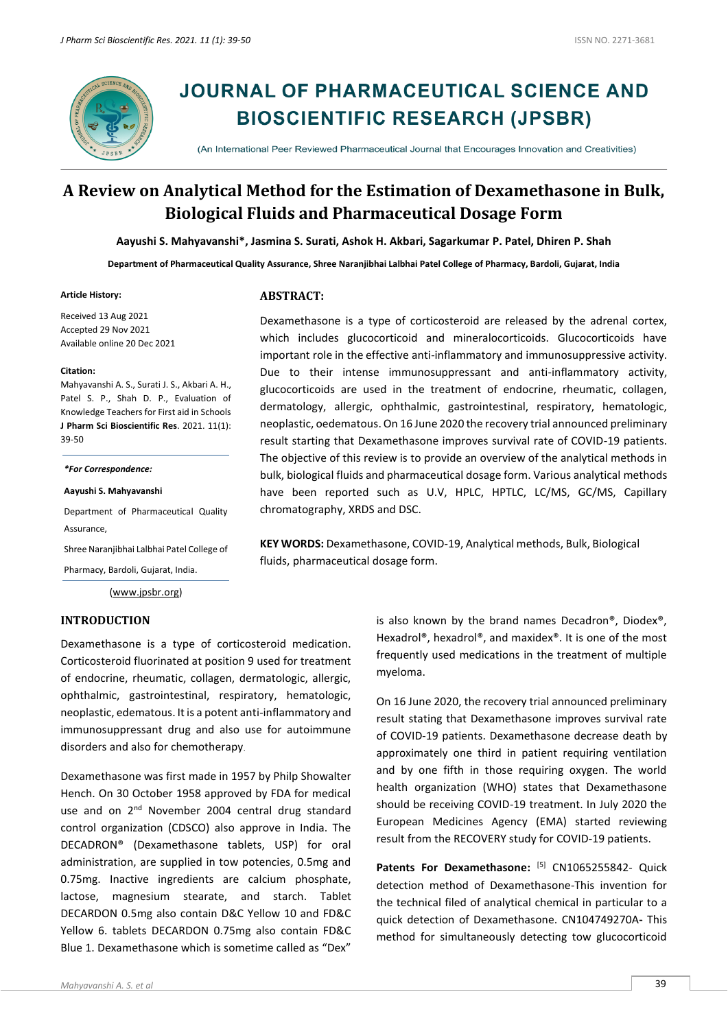

# **JOURNAL OF PHARMACEUTICAL SCIENCE AND BIOSCIENTIFIC RESEARCH (JPSBR)**

(An International Peer Reviewed Pharmaceutical Journal that Encourages Innovation and Creativities)

# **A Review on Analytical Method for the Estimation of Dexamethasone in Bulk, Biological Fluids and Pharmaceutical Dosage Form**

**Aayushi S. Mahyavanshi\*, Jasmina S. Surati, Ashok H. Akbari, Sagarkumar P. Patel, Dhiren P. Shah**

**Department of Pharmaceutical Quality Assurance, Shree Naranjibhai Lalbhai Patel College of Pharmacy, Bardoli, Gujarat, India**

#### **Article History:**

Received 13 Aug 2021 Accepted 29 Nov 2021 Available online 20 Dec 2021

#### **Citation:**

Mahyavanshi A. S., Surati J. S., Akbari A. H., Patel S. P., Shah D. P., Evaluation of Knowledge Teachers for First aid in Schools **J Pharm Sci Bioscientific Res**. 2021. 11(1): 39-50

*\*For Correspondence:*

**Aayushi S. Mahyavanshi**

Department of Pharmaceutical Quality Assurance,

Shree Naranjibhai Lalbhai Patel College of

Pharmacy, Bardoli, Gujarat, India.

[\(www.jpsbr.org\)](http://www.jpsbr.org/)

### **INTRODUCTION**

Dexamethasone is a type of corticosteroid medication. Corticosteroid fluorinated at position 9 used for treatment of endocrine, rheumatic, collagen, dermatologic, allergic, ophthalmic, gastrointestinal, respiratory, hematologic, neoplastic, edematous. It is a potent anti-inflammatory and immunosuppressant drug and also use for autoimmune disorders and also for chemotherapy.

Dexamethasone was first made in 1957 by Philp Showalter Hench. On 30 October 1958 approved by FDA for medical use and on 2<sup>nd</sup> November 2004 central drug standard control organization (CDSCO) also approve in India. The DECADRON® (Dexamethasone tablets, USP) for oral administration, are supplied in tow potencies, 0.5mg and 0.75mg. Inactive ingredients are calcium phosphate, lactose, magnesium stearate, and starch. Tablet DECARDON 0.5mg also contain D&C Yellow 10 and FD&C Yellow 6. tablets DECARDON 0.75mg also contain FD&C Blue 1. Dexamethasone which is sometime called as "Dex"

**ABSTRACT:**

Dexamethasone is a type of corticosteroid are released by the adrenal cortex, which includes glucocorticoid and mineralocorticoids. Glucocorticoids have important role in the effective anti-inflammatory and immunosuppressive activity. Due to their intense immunosuppressant and anti-inflammatory activity, glucocorticoids are used in the treatment of endocrine, rheumatic, collagen, dermatology, allergic, ophthalmic, gastrointestinal, respiratory, hematologic, neoplastic, oedematous. On 16 June 2020 the recovery trial announced preliminary result starting that Dexamethasone improves survival rate of COVID-19 patients. The objective of this review is to provide an overview of the analytical methods in bulk, biological fluids and pharmaceutical dosage form. Various analytical methods have been reported such as U.V, HPLC, HPTLC, LC/MS, GC/MS, Capillary chromatography, XRDS and DSC.

**KEY WORDS:** Dexamethasone, COVID-19, Analytical methods, Bulk, Biological fluids, pharmaceutical dosage form.

> is also known by the brand names Decadron®, Diodex®, Hexadrol®, hexadrol®, and maxidex®. It is one of the most frequently used medications in the treatment of multiple myeloma.

> On 16 June 2020, the recovery trial announced preliminary result stating that Dexamethasone improves survival rate of COVID-19 patients. Dexamethasone decrease death by approximately one third in patient requiring ventilation and by one fifth in those requiring oxygen. The world health organization (WHO) states that Dexamethasone should be receiving COVID-19 treatment. In July 2020 the European Medicines Agency (EMA) started reviewing result from the RECOVERY study for COVID-19 patients.

> Patents For Dexamethasone: [5] CN1065255842- Quick detection method of Dexamethasone-This invention for the technical filed of analytical chemical in particular to a quick detection of Dexamethasone. CN104749270A**-** This method for simultaneously detecting tow glucocorticoid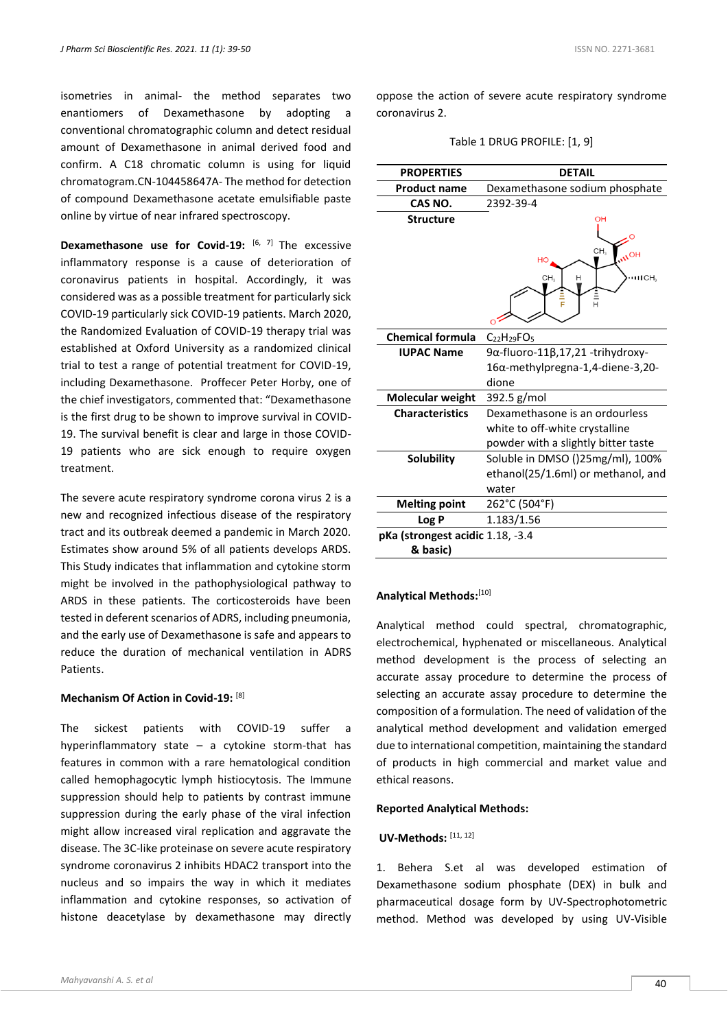isometries in animal- the method separates two enantiomers of Dexamethasone by adopting a conventional chromatographic column and detect residual amount of Dexamethasone in animal derived food and confirm. A C18 chromatic column is using for liquid chromatogram.CN-104458647A- The method for detection of compound Dexamethasone acetate emulsifiable paste online by virtue of near infrared spectroscopy.

**Dexamethasone use for Covid-19:** [6, 7] The excessive inflammatory response is a cause of deterioration of coronavirus patients in hospital. Accordingly, it was considered was as a possible treatment for particularly sick COVID-19 particularly sick COVID-19 patients. March 2020, the Randomized Evaluation of COVID-19 therapy trial was established at Oxford University as a randomized clinical trial to test a range of potential treatment for COVID-19, including Dexamethasone. Proffecer Peter Horby, one of the chief investigators, commented that: "Dexamethasone is the first drug to be shown to improve survival in COVID-19. The survival benefit is clear and large in those COVID-19 patients who are sick enough to require oxygen treatment.

The severe acute respiratory syndrome corona virus 2 is a new and recognized infectious disease of the respiratory tract and its outbreak deemed a pandemic in March 2020. Estimates show around 5% of all patients develops ARDS. This Study indicates that inflammation and cytokine storm might be involved in the pathophysiological pathway to ARDS in these patients. The corticosteroids have been tested in deferent scenarios of ADRS, including pneumonia, and the early use of Dexamethasone is safe and appears to reduce the duration of mechanical ventilation in ADRS Patients.

#### **Mechanism Of Action in Covid-19:** [8]

The sickest patients with COVID-19 suffer a hyperinflammatory state – a cytokine storm-that has features in common with a rare hematological condition called hemophagocytic lymph histiocytosis. The Immune suppression should help to patients by contrast immune suppression during the early phase of the viral infection might allow increased viral replication and aggravate the disease. The 3C-like proteinase on severe acute respiratory syndrome coronavirus 2 inhibits HDAC2 transport into the nucleus and so impairs the way in which it mediates inflammation and cytokine responses, so activation of histone deacetylase by dexamethasone may directly oppose the action of severe acute respiratory syndrome coronavirus 2.

|  |  | Table 1 DRUG PROFILE: [1, 9] |  |  |
|--|--|------------------------------|--|--|
|--|--|------------------------------|--|--|

| <b>PROPERTIES</b>                | <b>DETAIL</b>                                                                               |  |  |
|----------------------------------|---------------------------------------------------------------------------------------------|--|--|
| <b>Product name</b>              | Dexamethasone sodium phosphate                                                              |  |  |
| CAS NO.                          | 2392-39-4                                                                                   |  |  |
| <b>Structure</b>                 | OH<br>CH <sub>2</sub><br><b>NOH</b><br>HO<br>CH <sub>3</sub><br><b>ITICH</b><br>н<br>i<br>H |  |  |
| <b>Chemical formula</b>          | $C_{22}H_{29}FO_5$                                                                          |  |  |
| <b>IUPAC Name</b>                | 9α-fluoro-11β,17,21 -trihydroxy-                                                            |  |  |
|                                  | 16α-methylpregna-1,4-diene-3,20-                                                            |  |  |
|                                  | dione                                                                                       |  |  |
| Molecular weight                 | 392.5 g/mol                                                                                 |  |  |
| <b>Characteristics</b>           | Dexamethasone is an ordourless                                                              |  |  |
|                                  | white to off-white crystalline                                                              |  |  |
|                                  | powder with a slightly bitter taste                                                         |  |  |
| Solubility                       | Soluble in DMSO ()25mg/ml), 100%                                                            |  |  |
|                                  | ethanol(25/1.6ml) or methanol, and                                                          |  |  |
|                                  | water                                                                                       |  |  |
| <b>Melting point</b>             | 262°C (504°F)                                                                               |  |  |
| Log P                            | 1.183/1.56                                                                                  |  |  |
| pKa (strongest acidic 1.18, -3.4 |                                                                                             |  |  |
| & basic)                         |                                                                                             |  |  |

#### Analytical Methods:[10]

Analytical method could spectral, chromatographic, electrochemical, hyphenated or miscellaneous. Analytical method development is the process of selecting an accurate assay procedure to determine the process of selecting an accurate assay procedure to determine the composition of a formulation. The need of validation of the analytical method development and validation emerged due to international competition, maintaining the standard of products in high commercial and market value and ethical reasons.

#### **Reported Analytical Methods:**

#### **UV-Methods:** [11, 12]

1. Behera S.et al was developed estimation of Dexamethasone sodium phosphate (DEX) in bulk and pharmaceutical dosage form by UV-Spectrophotometric method. Method was developed by using UV-Visible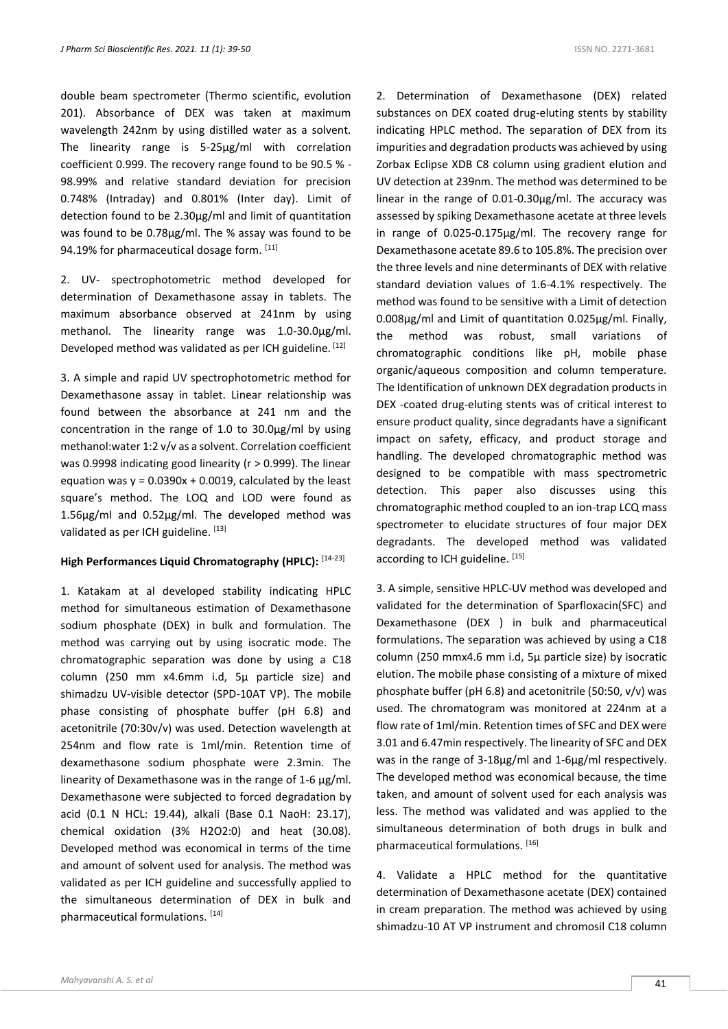double beam spectrometer (Thermo scientific, evolution 201). Absorbance of DEX was taken at maximum wavelength 242nm by using distilled water as a solvent. The linearity range is 5-25μg/ml with correlation coefficient 0.999. The recovery range found to be 90.5 % - 98.99% and relative standard deviation for precision 0.748% (Intraday) and 0.801% (Inter day). Limit of detection found to be 2.30µg/ml and limit of quantitation was found to be 0.78µg/ml. The % assay was found to be 94.19% for pharmaceutical dosage form. [11]

2. UV- spectrophotometric method developed for determination of Dexamethasone assay in tablets. The maximum absorbance observed at 241nm by using methanol. The linearity range was 1.0-30.0µg/ml. Developed method was validated as per ICH guideline. [12]

3. A simple and rapid UV spectrophotometric method for Dexamethasone assay in tablet. Linear relationship was found between the absorbance at 241 nm and the concentration in the range of 1.0 to 30.0µg/ml by using methanol:water 1:2 v/v as a solvent. Correlation coefficient was 0.9998 indicating good linearity (r > 0.999). The linear equation was  $y = 0.0390x + 0.0019$ , calculated by the least square's method. The LOQ and LOD were found as 1.56µg/ml and 0.52µg/ml. The developed method was validated as per ICH guideline. [13]

#### **High Performances Liquid Chromatography (HPLC):** [14-23]

1. Katakam at al developed stability indicating HPLC method for simultaneous estimation of Dexamethasone sodium phosphate (DEX) in bulk and formulation. The method was carrying out by using isocratic mode. The chromatographic separation was done by using a C18 column (250 mm x4.6mm i.d, 5µ particle size) and shimadzu UV-visible detector (SPD-10AT VP). The mobile phase consisting of phosphate buffer (pH 6.8) and acetonitrile (70:30v/v) was used. Detection wavelength at 254nm and flow rate is 1ml/min. Retention time of dexamethasone sodium phosphate were 2.3min. The linearity of Dexamethasone was in the range of 1-6 µg/ml. Dexamethasone were subjected to forced degradation by acid (0.1 N HCL: 19.44), alkali (Base 0.1 NaoH: 23.17), chemical oxidation (3% H2O2:0) and heat (30.08). Developed method was economical in terms of the time and amount of solvent used for analysis. The method was validated as per ICH guideline and successfully applied to the simultaneous determination of DEX in bulk and pharmaceutical formulations. [14]

2. Determination of Dexamethasone (DEX) related substances on DEX coated drug-eluting stents by stability indicating HPLC method. The separation of DEX from its impurities and degradation products was achieved by using Zorbax Eclipse XDB C8 column using gradient elution and UV detection at 239nm. The method was determined to be linear in the range of 0.01-0.30µg/ml. The accuracy was assessed by spiking Dexamethasone acetate at three levels in range of 0.025-0.175µg/ml. The recovery range for Dexamethasone acetate 89.6 to 105.8%. The precision over the three levels and nine determinants of DEX with relative standard deviation values of 1.6-4.1% respectively. The method was found to be sensitive with a Limit of detection 0.008µg/ml and Limit of quantitation 0.025µg/ml. Finally, the method was robust, small variations of chromatographic conditions like pH, mobile phase organic/aqueous composition and column temperature. The Identification of unknown DEX degradation products in DEX -coated drug-eluting stents was of critical interest to ensure product quality, since degradants have a significant impact on safety, efficacy, and product storage and handling. The developed chromatographic method was designed to be compatible with mass spectrometric detection. This paper also discusses using this chromatographic method coupled to an ion-trap LCQ mass spectrometer to elucidate structures of four major DEX degradants. The developed method was validated according to ICH guideline. [15]

3. A simple, sensitive HPLC-UV method was developed and validated for the determination of Sparfloxacin(SFC) and Dexamethasone (DEX ) in bulk and pharmaceutical formulations. The separation was achieved by using a C18 column (250 mmx4.6 mm i.d, 5μ particle size) by isocratic elution. The mobile phase consisting of a mixture of mixed phosphate buffer (pH 6.8) and acetonitrile (50:50, v/v) was used. The chromatogram was monitored at 224nm at a flow rate of 1ml/min. Retention times of SFC and DEX were 3.01 and 6.47min respectively. The linearity of SFC and DEX was in the range of 3-18μg/ml and 1-6μg/ml respectively. The developed method was economical because, the time taken, and amount of solvent used for each analysis was less. The method was validated and was applied to the simultaneous determination of both drugs in bulk and pharmaceutical formulations. [16]

4. Validate a HPLC method for the quantitative determination of Dexamethasone acetate (DEX) contained in cream preparation. The method was achieved by using shimadzu-10 AT VP instrument and chromosil C18 column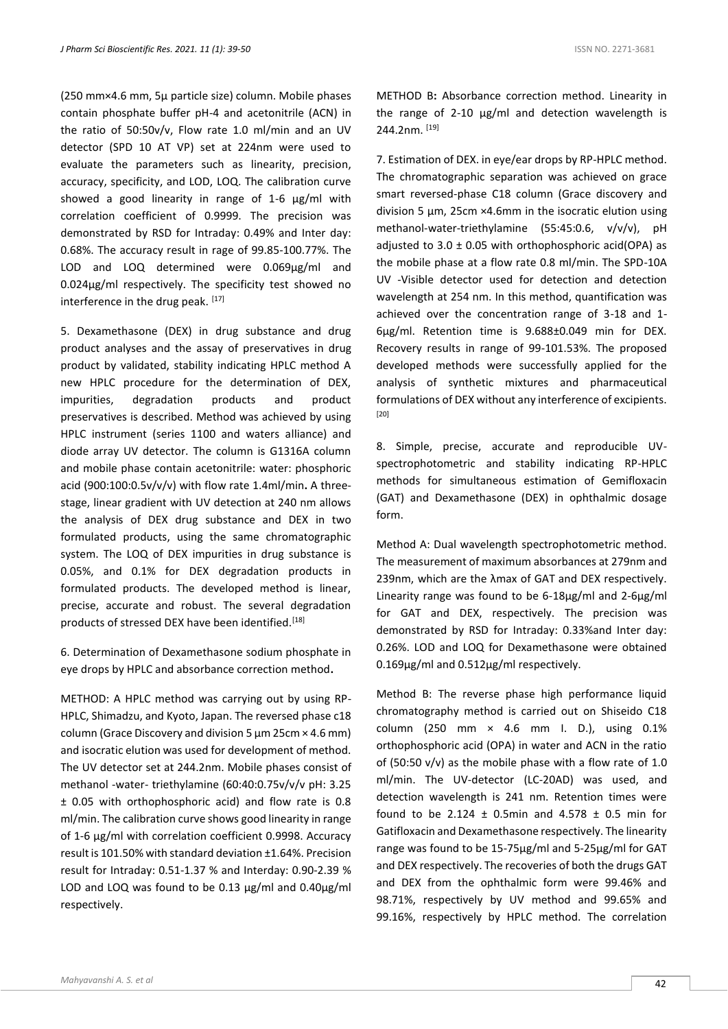(250 mm×4.6 mm, 5µ particle size) column. Mobile phases contain phosphate buffer pH-4 and acetonitrile (ACN) in the ratio of 50:50v/v, Flow rate 1.0 ml/min and an UV detector (SPD 10 AT VP) set at 224nm were used to evaluate the parameters such as linearity, precision, accuracy, specificity, and LOD, LOQ. The calibration curve showed a good linearity in range of 1-6 µg/ml with correlation coefficient of 0.9999. The precision was demonstrated by RSD for Intraday: 0.49% and Inter day: 0.68%. The accuracy result in rage of 99.85-100.77%. The LOD and LOQ determined were 0.069µg/ml and 0.024µg/ml respectively. The specificity test showed no interference in the drug peak. [17]

5. Dexamethasone (DEX) in drug substance and drug product analyses and the assay of preservatives in drug product by validated, stability indicating HPLC method A new HPLC procedure for the determination of DEX, impurities, degradation products and product preservatives is described. Method was achieved by using HPLC instrument (series 1100 and waters alliance) and diode array UV detector. The column is G1316A column and mobile phase contain acetonitrile: water: phosphoric acid (900:100:0.5v/v/v) with flow rate 1.4ml/min**.** A threestage, linear gradient with UV detection at 240 nm allows the analysis of DEX drug substance and DEX in two formulated products, using the same chromatographic system. The LOQ of DEX impurities in drug substance is 0.05%, and 0.1% for DEX degradation products in formulated products. The developed method is linear, precise, accurate and robust. The several degradation products of stressed DEX have been identified.<sup>[18]</sup>

6. Determination of Dexamethasone sodium phosphate in eye drops by HPLC and absorbance correction method**.** 

METHOD: A HPLC method was carrying out by using RP-HPLC, Shimadzu, and Kyoto, Japan. The reversed phase c18 column (Grace Discovery and division 5  $\mu$ m 25cm  $\times$  4.6 mm) and isocratic elution was used for development of method. The UV detector set at 244.2nm. Mobile phases consist of methanol -water- triethylamine (60:40:0.75v/v/v pH: 3.25 ± 0.05 with orthophosphoric acid) and flow rate is 0.8 ml/min. The calibration curve shows good linearity in range of 1-6 µg/ml with correlation coefficient 0.9998. Accuracy result is 101.50% with standard deviation ±1.64%. Precision result for Intraday: 0.51-1.37 % and Interday: 0.90-2.39 % LOD and LOQ was found to be 0.13 µg/ml and 0.40µg/ml respectively.

METHOD B**:** Absorbance correction method. Linearity in the range of 2-10 µg/ml and detection wavelength is 244.2nm. [19]

7. Estimation of DEX. in eye/ear drops by RP-HPLC method. The chromatographic separation was achieved on grace smart reversed-phase C18 column (Grace discovery and division 5 µm, 25cm ×4.6mm in the isocratic elution using methanol-water-triethylamine (55:45:0.6, v/v/v), pH adjusted to  $3.0 \pm 0.05$  with orthophosphoric acid(OPA) as the mobile phase at a flow rate 0.8 ml/min. The SPD-10A UV -Visible detector used for detection and detection wavelength at 254 nm. In this method, quantification was achieved over the concentration range of 3-18 and 1- 6µg/ml. Retention time is 9.688±0.049 min for DEX. Recovery results in range of 99-101.53%. The proposed developed methods were successfully applied for the analysis of synthetic mixtures and pharmaceutical formulations of DEX without any interference of excipients. [20]

8. Simple, precise, accurate and reproducible UVspectrophotometric and stability indicating RP-HPLC methods for simultaneous estimation of Gemifloxacin (GAT) and Dexamethasone (DEX) in ophthalmic dosage form.

Method A: Dual wavelength spectrophotometric method. The measurement of maximum absorbances at 279nm and 239nm, which are the λmax of GAT and DEX respectively. Linearity range was found to be 6-18μg/ml and 2-6μg/ml for GAT and DEX, respectively. The precision was demonstrated by RSD for Intraday: 0.33%and Inter day: 0.26%. LOD and LOQ for Dexamethasone were obtained 0.169µg/ml and 0.512µg/ml respectively.

Method B: The reverse phase high performance liquid chromatography method is carried out on Shiseido C18 column (250 mm × 4.6 mm I. D.), using 0.1% orthophosphoric acid (OPA) in water and ACN in the ratio of (50:50 v/v) as the mobile phase with a flow rate of 1.0 ml/min. The UV-detector (LC-20AD) was used, and detection wavelength is 241 nm. Retention times were found to be 2.124  $\pm$  0.5min and 4.578  $\pm$  0.5 min for Gatifloxacin and Dexamethasone respectively. The linearity range was found to be 15-75μg/ml and 5-25μg/ml for GAT and DEX respectively. The recoveries of both the drugs GAT and DEX from the ophthalmic form were 99.46% and 98.71%, respectively by UV method and 99.65% and 99.16%, respectively by HPLC method. The correlation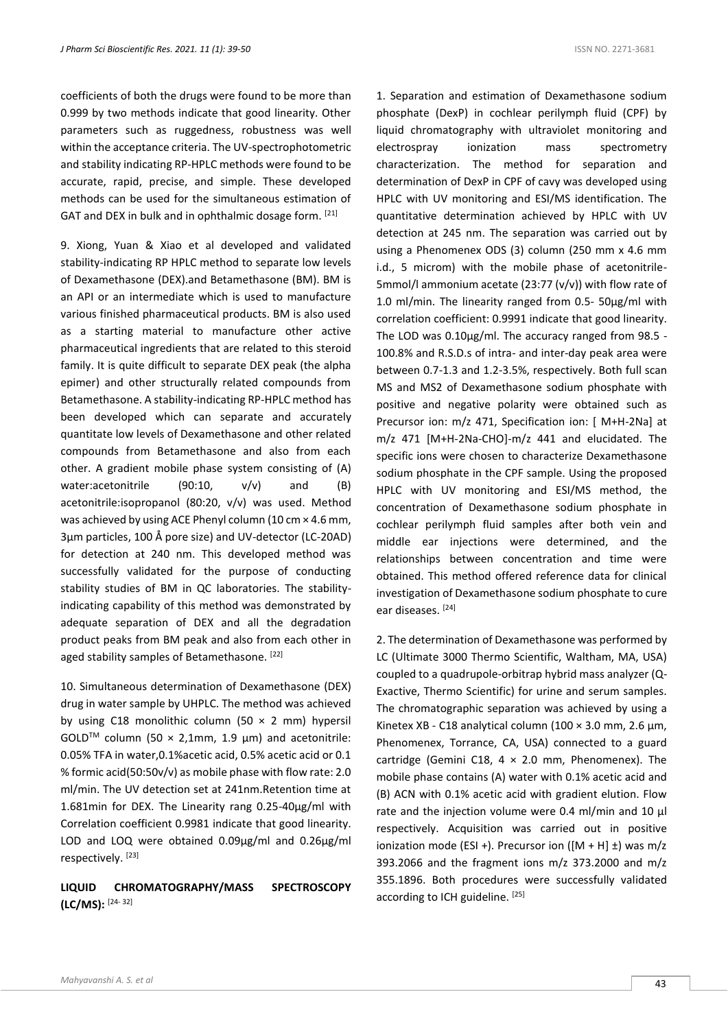coefficients of both the drugs were found to be more than 0.999 by two methods indicate that good linearity. Other parameters such as ruggedness, robustness was well within the acceptance criteria. The UV-spectrophotometric and stability indicating RP-HPLC methods were found to be accurate, rapid, precise, and simple. These developed methods can be used for the simultaneous estimation of GAT and DEX in bulk and in ophthalmic dosage form. [21]

9. Xiong, Yuan & Xiao et al developed and validated stability-indicating RP HPLC method to separate low levels of Dexamethasone (DEX).and Betamethasone (BM). BM is an API or an intermediate which is used to manufacture various finished pharmaceutical products. BM is also used as a starting material to manufacture other active pharmaceutical ingredients that are related to this steroid family. It is quite difficult to separate DEX peak (the alpha epimer) and other structurally related compounds from Betamethasone. A stability-indicating RP-HPLC method has been developed which can separate and accurately quantitate low levels of Dexamethasone and other related compounds from Betamethasone and also from each other. A gradient mobile phase system consisting of (A) water:acetonitrile (90:10, v/v) and (B) acetonitrile:isopropanol (80:20, v/v) was used. Method was achieved by using ACE Phenyl column (10 cm × 4.6 mm, 3μm particles, 100 Å pore size) and UV-detector (LC-20AD) for detection at 240 nm. This developed method was successfully validated for the purpose of conducting stability studies of BM in QC laboratories. The stabilityindicating capability of this method was demonstrated by adequate separation of DEX and all the degradation product peaks from BM peak and also from each other in aged stability samples of Betamethasone. [22]

10. Simultaneous determination of Dexamethasone (DEX) drug in water sample by UHPLC. The method was achieved by using C18 monolithic column (50  $\times$  2 mm) hypersil GOLD<sup>TM</sup> column (50  $\times$  2,1mm, 1.9 µm) and acetonitrile: 0.05% TFA in water,0.1%acetic acid, 0.5% acetic acid or 0.1 % formic acid(50:50v/v) as mobile phase with flow rate: 2.0 ml/min. The UV detection set at 241nm.Retention time at 1.681min for DEX. The Linearity rang 0.25-40µg/ml with Correlation coefficient 0.9981 indicate that good linearity. LOD and LOQ were obtained 0.09µg/ml and 0.26µg/ml respectively. [23]

# **LIQUID CHROMATOGRAPHY/MASS SPECTROSCOPY (LC/MS):** [24- 32]

1. Separation and estimation of Dexamethasone sodium phosphate (DexP) in cochlear perilymph fluid (CPF) by liquid chromatography with ultraviolet monitoring and electrospray ionization mass spectrometry characterization. The method for separation and determination of DexP in CPF of cavy was developed using HPLC with UV monitoring and ESI/MS identification. The quantitative determination achieved by HPLC with UV detection at 245 nm. The separation was carried out by using a Phenomenex ODS (3) column (250 mm x 4.6 mm i.d., 5 microm) with the mobile phase of acetonitrile-5mmol/l ammonium acetate (23:77 (v/v)) with flow rate of 1.0 ml/min. The linearity ranged from 0.5- 50µg/ml with correlation coefficient: 0.9991 indicate that good linearity. The LOD was 0.10µg/ml. The accuracy ranged from 98.5 -100.8% and R.S.D.s of intra- and inter-day peak area were between 0.7-1.3 and 1.2-3.5%, respectively. Both full scan MS and MS2 of Dexamethasone sodium phosphate with positive and negative polarity were obtained such as Precursor ion: m/z 471, Specification ion: [ M+H-2Na] at m/z 471 [M+H-2Na-CHO]-m/z 441 and elucidated. The specific ions were chosen to characterize Dexamethasone sodium phosphate in the CPF sample. Using the proposed HPLC with UV monitoring and ESI/MS method, the concentration of Dexamethasone sodium phosphate in cochlear perilymph fluid samples after both vein and middle ear injections were determined, and the relationships between concentration and time were obtained. This method offered reference data for clinical investigation of Dexamethasone sodium phosphate to cure ear diseases. [24]

2. The determination of Dexamethasone was performed by LC (Ultimate 3000 Thermo Scientific, Waltham, MA, USA) coupled to a quadrupole-orbitrap hybrid mass analyzer (Q-Exactive, Thermo Scientific) for urine and serum samples. The chromatographic separation was achieved by using a Kinetex XB - C18 analytical column (100 × 3.0 mm, 2.6 μm, Phenomenex, Torrance, CA, USA) connected to a guard cartridge (Gemini C18,  $4 \times 2.0$  mm, Phenomenex). The mobile phase contains (A) water with 0.1% acetic acid and (B) ACN with 0.1% acetic acid with gradient elution. Flow rate and the injection volume were 0.4 ml/min and 10 μl respectively. Acquisition was carried out in positive ionization mode (ESI +). Precursor ion ( $[M + H] \pm$ ) was m/z 393.2066 and the fragment ions m/z 373.2000 and m/z 355.1896. Both procedures were successfully validated according to ICH guideline. [25]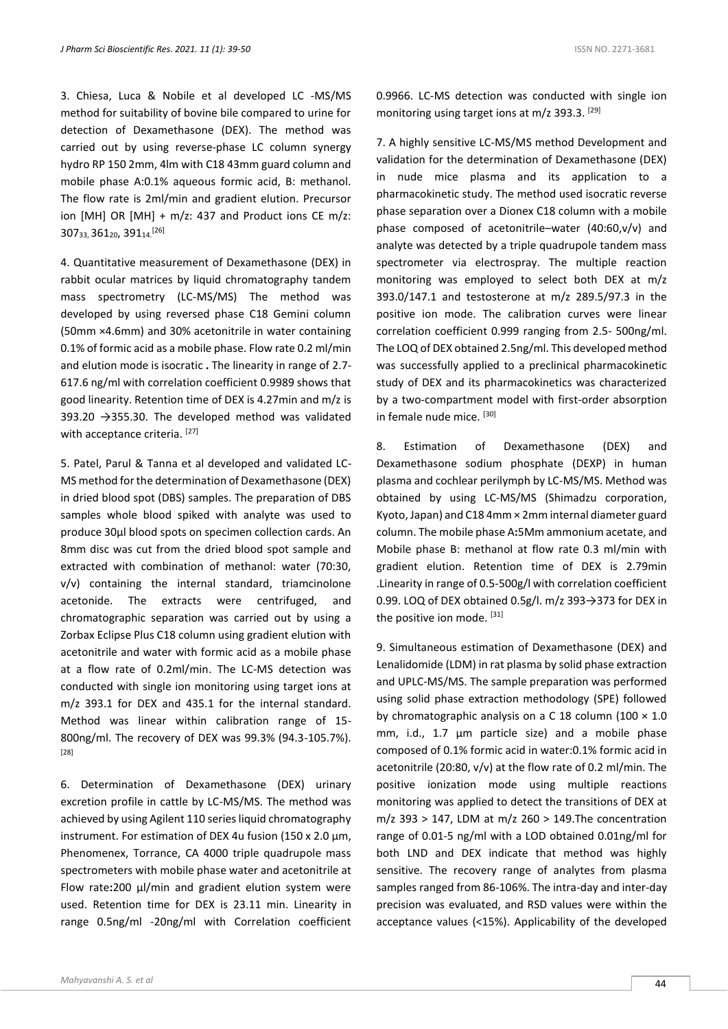3. Chiesa, Luca & Nobile et al developed LC -MS/MS method for suitability of bovine bile compared to urine for detection of Dexamethasone (DEX). The method was carried out by using reverse-phase LC column synergy hydro RP 150 2mm, 4lm with C18 43mm guard column and mobile phase A:0.1% aqueous formic acid, B: methanol. The flow rate is 2ml/min and gradient elution. Precursor ion [MH] OR [MH]  $+$  m/z: 437 and Product ions CE m/z: 30733, 36120, 39114.[26]

4. Quantitative measurement of Dexamethasone (DEX) in rabbit ocular matrices by liquid chromatography tandem mass spectrometry (LC-MS/MS) The method was developed by using reversed phase C18 Gemini column (50mm ×4.6mm) and 30% acetonitrile in water containing 0.1% of formic acid as a mobile phase. Flow rate 0.2 ml/min and elution mode is isocratic **.** The linearity in range of 2.7- 617.6 ng/ml with correlation coefficient 0.9989 shows that good linearity. Retention time of DEX is 4.27min and m/z is 393.20  $\rightarrow$  355.30. The developed method was validated with acceptance criteria. [27]

5. Patel, Parul & Tanna et al developed and validated LC-MS method for the determination of Dexamethasone (DEX) in dried blood spot (DBS) samples. The preparation of DBS samples whole blood spiked with analyte was used to produce 30μl blood spots on specimen collection cards. An 8mm disc was cut from the dried blood spot sample and extracted with combination of methanol: water (70:30, v/v) containing the internal standard, triamcinolone acetonide. The extracts were centrifuged, and chromatographic separation was carried out by using a Zorbax Eclipse Plus C18 column using gradient elution with acetonitrile and water with formic acid as a mobile phase at a flow rate of 0.2ml/min. The LC-MS detection was conducted with single ion monitoring using target ions at m/z 393.1 for DEX and 435.1 for the internal standard. Method was linear within calibration range of 15- 800ng/ml. The recovery of DEX was 99.3% (94.3-105.7%). [28]

6. Determination of Dexamethasone (DEX) urinary excretion profile in cattle by LC-MS/MS. The method was achieved by using Agilent 110 series liquid chromatography instrument. For estimation of DEX 4u fusion (150 x 2.0 µm, Phenomenex, Torrance, CA 4000 triple quadrupole mass spectrometers with mobile phase water and acetonitrile at Flow rate**:**200 µl/min and gradient elution system were used. Retention time for DEX is 23.11 min. Linearity in range 0.5ng/ml -20ng/ml with Correlation coefficient

0.9966. LC-MS detection was conducted with single ion monitoring using target ions at m/z 393.3. [29]

7. A highly sensitive LC-MS/MS method Development and validation for the determination of Dexamethasone (DEX) in nude mice plasma and its application to a pharmacokinetic study. The method used isocratic reverse phase separation over a Dionex C18 column with a mobile phase composed of acetonitrile–water (40:60,v/v) and analyte was detected by a triple quadrupole tandem mass spectrometer via electrospray. The multiple reaction monitoring was employed to select both DEX at m/z 393.0/147.1 and testosterone at m/z 289.5/97.3 in the positive ion mode. The calibration curves were linear correlation coefficient 0.999 ranging from 2.5- 500ng/ml. The LOQ of DEX obtained 2.5ng/ml. This developed method was successfully applied to a preclinical pharmacokinetic study of DEX and its pharmacokinetics was characterized by a two-compartment model with first-order absorption in female nude mice. [30]

8. Estimation of Dexamethasone (DEX) and Dexamethasone sodium phosphate (DEXP) in human plasma and cochlear perilymph by LC-MS/MS. Method was obtained by using LC-MS/MS (Shimadzu corporation, Kyoto, Japan) and C18 4mm × 2mm internal diameter guard column. The mobile phase A**:**5Mm ammonium acetate, and Mobile phase B: methanol at flow rate 0.3 ml/min with gradient elution. Retention time of DEX is 2.79min .Linearity in range of 0.5-500g/l with correlation coefficient 0.99. LOQ of DEX obtained 0.5g/l. m/z 393 $\rightarrow$ 373 for DEX in the positive ion mode. [31]

9. Simultaneous estimation of Dexamethasone (DEX) and Lenalidomide (LDM) in rat plasma by solid phase extraction and UPLC-MS/MS. The sample preparation was performed using solid phase extraction methodology (SPE) followed by chromatographic analysis on a C 18 column (100  $\times$  1.0 mm, i.d., 1.7 μm particle size) and a mobile phase composed of 0.1% formic acid in water:0.1% formic acid in acetonitrile (20:80, v/v) at the flow rate of 0.2 ml/min. The positive ionization mode using multiple reactions monitoring was applied to detect the transitions of DEX at m/z 393 > 147, LDM at m/z 260 > 149.The concentration range of 0.01-5 ng/ml with a LOD obtained 0.01ng/ml for both LND and DEX indicate that method was highly sensitive. The recovery range of analytes from plasma samples ranged from 86-106%. The intra-day and inter-day precision was evaluated, and RSD values were within the acceptance values (<15%). Applicability of the developed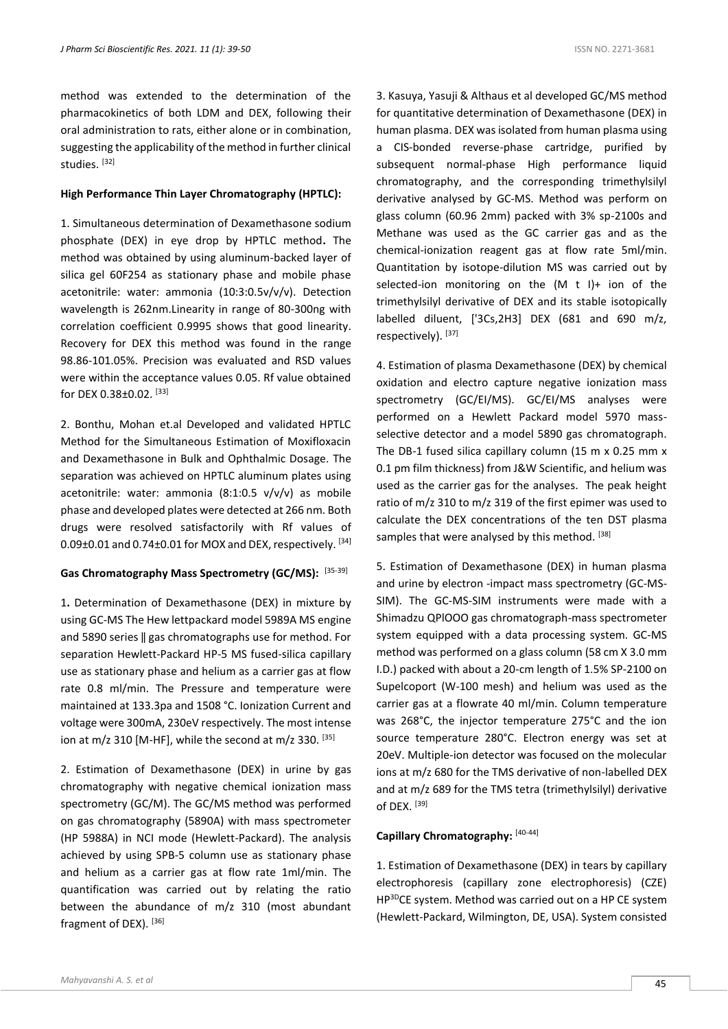method was extended to the determination of the pharmacokinetics of both LDM and DEX, following their oral administration to rats, either alone or in combination, suggesting the applicability of the method in further clinical studies. [32]

#### **High Performance Thin Layer Chromatography (HPTLC):**

1. Simultaneous determination of Dexamethasone sodium phosphate (DEX) in eye drop by HPTLC method**.** The method was obtained by using aluminum-backed layer of silica gel 60F254 as stationary phase and mobile phase acetonitrile: water: ammonia (10:3:0.5v/v/v). Detection wavelength is 262nm.Linearity in range of 80-300ng with correlation coefficient 0.9995 shows that good linearity. Recovery for DEX this method was found in the range 98.86-101.05%. Precision was evaluated and RSD values were within the acceptance values 0.05. Rf value obtained for DEX 0.38±0.02. [33]

2. Bonthu, Mohan et.al Developed and validated HPTLC Method for the Simultaneous Estimation of Moxifloxacin and Dexamethasone in Bulk and Ophthalmic Dosage. The separation was achieved on HPTLC aluminum plates using acetonitrile: water: ammonia (8:1:0.5 v/v/v) as mobile phase and developed plates were detected at 266 nm. Both drugs were resolved satisfactorily with Rf values of  $0.09\pm0.01$  and  $0.74\pm0.01$  for MOX and DEX, respectively.  $^{[34]}$ 

#### **Gas Chromatography Mass Spectrometry (GC/MS):** [35-39]

1**.** Determination of Dexamethasone (DEX) in mixture by using GC-MS The Hew lettpackard model 5989A MS engine and 5890 series ‖ gas chromatographs use for method. For separation Hewlett-Packard HP-5 MS fused-silica capillary use as stationary phase and helium as a carrier gas at flow rate 0.8 ml/min. The Pressure and temperature were maintained at 133.3pa and 1508 °C. Ionization Current and voltage were 300mA, 230eV respectively. The most intense ion at m/z 310 [M-HF], while the second at m/z 330. [35]

2. Estimation of Dexamethasone (DEX) in urine by gas chromatography with negative chemical ionization mass spectrometry (GC/M). The GC/MS method was performed on gas chromatography (5890A) with mass spectrometer (HP 5988A) in NCI mode (Hewlett-Packard). The analysis achieved by using SPB-5 column use as stationary phase and helium as a carrier gas at flow rate 1ml/min. The quantification was carried out by relating the ratio between the abundance of m/z 310 (most abundant fragment of DEX). [36]

3. Kasuya, Yasuji & Althaus et al developed GC/MS method for quantitative determination of Dexamethasone (DEX) in human plasma. DEX was isolated from human plasma using a CIS-bonded reverse-phase cartridge, purified by subsequent normal-phase High performance liquid chromatography, and the corresponding trimethylsilyl derivative analysed by GC-MS. Method was perform on glass column (60.96 2mm) packed with 3% sp-2100s and Methane was used as the GC carrier gas and as the chemical-ionization reagent gas at flow rate 5ml/min. Quantitation by isotope-dilution MS was carried out by selected-ion monitoring on the (M t I)+ ion of the trimethylsilyl derivative of DEX and its stable isotopically labelled diluent, ['3Cs,2H3] DEX (681 and 690 m/z, respectively). [37]

4. Estimation of plasma Dexamethasone (DEX) by chemical oxidation and electro capture negative ionization mass spectrometry (GC/EI/MS). GC/EI/MS analyses were performed on a Hewlett Packard model 5970 massselective detector and a model 5890 gas chromatograph. The DB-1 fused silica capillary column (15 m x 0.25 mm x 0.1 pm film thickness) from J&W Scientific, and helium was used as the carrier gas for the analyses. The peak height ratio of m/z 310 to m/z 319 of the first epimer was used to calculate the DEX concentrations of the ten DST plasma samples that were analysed by this method. [38]

5. Estimation of Dexamethasone (DEX) in human plasma and urine by electron -impact mass spectrometry (GC-MS-SIM). The GC-MS-SIM instruments were made with a Shimadzu QPlOOO gas chromatograph-mass spectrometer system equipped with a data processing system. GC-MS method was performed on a glass column (58 cm X 3.0 mm I.D.) packed with about a 20-cm length of 1.5% SP-2100 on Supelcoport (W-100 mesh) and helium was used as the carrier gas at a flowrate 40 ml/min. Column temperature was 268°C, the injector temperature 275°C and the ion source temperature 280°C. Electron energy was set at 20eV. Multiple-ion detector was focused on the molecular ions at m/z 680 for the TMS derivative of non-labelled DEX and at m/z 689 for the TMS tetra (trimethylsilyl) derivative of DEX. [39]

#### **Capillary Chromatography:** [40-44]

1. Estimation of Dexamethasone (DEX) in tears by capillary electrophoresis (capillary zone electrophoresis) (CZE) HP<sup>3D</sup>CE system. Method was carried out on a HP CE system (Hewlett-Packard, Wilmington, DE, USA). System consisted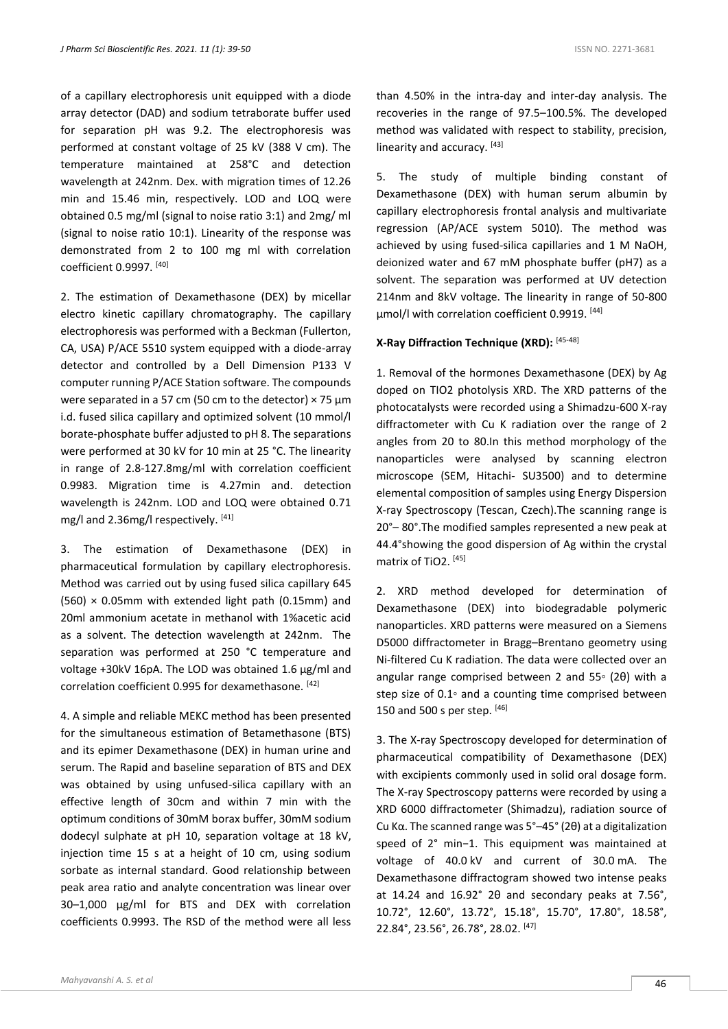of a capillary electrophoresis unit equipped with a diode array detector (DAD) and sodium tetraborate buffer used for separation pH was 9.2. The electrophoresis was performed at constant voltage of 25 kV (388 V cm). The temperature maintained at 258°C and detection wavelength at 242nm. Dex. with migration times of 12.26 min and 15.46 min, respectively. LOD and LOQ were obtained 0.5 mg/ml (signal to noise ratio 3:1) and 2mg/ ml (signal to noise ratio 10:1). Linearity of the response was demonstrated from 2 to 100 mg ml with correlation coefficient 0.9997. [40]

2. The estimation of Dexamethasone (DEX) by micellar electro kinetic capillary chromatography. The capillary electrophoresis was performed with a Beckman (Fullerton, CA, USA) P/ACE 5510 system equipped with a diode-array detector and controlled by a Dell Dimension P133 V computer running P/ACE Station software. The compounds were separated in a 57 cm (50 cm to the detector)  $\times$  75  $\mu$ m i.d. fused silica capillary and optimized solvent (10 mmol/l borate-phosphate buffer adjusted to pH 8. The separations were performed at 30 kV for 10 min at 25 °C. The linearity in range of 2.8-127.8mg/ml with correlation coefficient 0.9983. Migration time is 4.27min and. detection wavelength is 242nm. LOD and LOQ were obtained 0.71 mg/l and 2.36mg/l respectively. [41]

3. The estimation of Dexamethasone (DEX) in pharmaceutical formulation by capillary electrophoresis. Method was carried out by using fused silica capillary 645  $(560)$  × 0.05mm with extended light path (0.15mm) and 20ml ammonium acetate in methanol with 1%acetic acid as a solvent. The detection wavelength at 242nm. The separation was performed at 250 °C temperature and voltage +30kV 16pA. The LOD was obtained 1.6 µg/ml and correlation coefficient 0.995 for dexamethasone. [42]

4. A simple and reliable MEKC method has been presented for the simultaneous estimation of Betamethasone (BTS) and its epimer Dexamethasone (DEX) in human urine and serum. The Rapid and baseline separation of BTS and DEX was obtained by using unfused-silica capillary with an effective length of 30cm and within 7 min with the optimum conditions of 30mM borax buffer, 30mM sodium dodecyl sulphate at pH 10, separation voltage at 18 kV, injection time 15 s at a height of 10 cm, using sodium sorbate as internal standard. Good relationship between peak area ratio and analyte concentration was linear over 30–1,000 µg/ml for BTS and DEX with correlation coefficients 0.9993. The RSD of the method were all less

than 4.50% in the intra-day and inter-day analysis. The recoveries in the range of 97.5–100.5%. The developed method was validated with respect to stability, precision, linearity and accuracy. [43]

5. The study of multiple binding constant of Dexamethasone (DEX) with human serum albumin by capillary electrophoresis frontal analysis and multivariate regression (AP/ACE system 5010). The method was achieved by using fused-silica capillaries and 1 M NaOH, deionized water and 67 mM phosphate buffer (pH7) as a solvent. The separation was performed at UV detection 214nm and 8kV voltage. The linearity in range of 50-800 µmol/l with correlation coefficient 0.9919. [44]

### **X-Ray Diffraction Technique (XRD):** [45-48]

1. Removal of the hormones Dexamethasone (DEX) by Ag doped on TIO2 photolysis XRD. The XRD patterns of the photocatalysts were recorded using a Shimadzu-600 X-ray diffractometer with Cu K radiation over the range of 2 angles from 20 to 80.In this method morphology of the nanoparticles were analysed by scanning electron microscope (SEM, Hitachi- SU3500) and to determine elemental composition of samples using Energy Dispersion X-ray Spectroscopy (Tescan, Czech).The scanning range is 20°– 80°.The modified samples represented a new peak at 44.4°showing the good dispersion of Ag within the crystal matrix of TiO2. [45]

2. XRD method developed for determination of Dexamethasone (DEX) into biodegradable polymeric nanoparticles. XRD patterns were measured on a Siemens D5000 diffractometer in Bragg–Brentano geometry using Ni-filtered Cu K radiation. The data were collected over an angular range comprised between 2 and 55◦ (2θ) with a step size of 0.1◦ and a counting time comprised between 150 and 500 s per step. [46]

3. The X-ray Spectroscopy developed for determination of pharmaceutical compatibility of Dexamethasone (DEX) with excipients commonly used in solid oral dosage form. The X-ray Spectroscopy patterns were recorded by using a XRD 6000 diffractometer (Shimadzu), radiation source of Cu Kα. The scanned range was 5°–45° (2θ) at a digitalization speed of 2° min−1. This equipment was maintained at voltage of 40.0 kV and current of 30.0 mA. The Dexamethasone diffractogram showed two intense peaks at 14.24 and 16.92° 2θ and secondary peaks at 7.56°, 10.72°, 12.60°, 13.72°, 15.18°, 15.70°, 17.80°, 18.58°, 22.84°, 23.56°, 26.78°, 28.02. [47]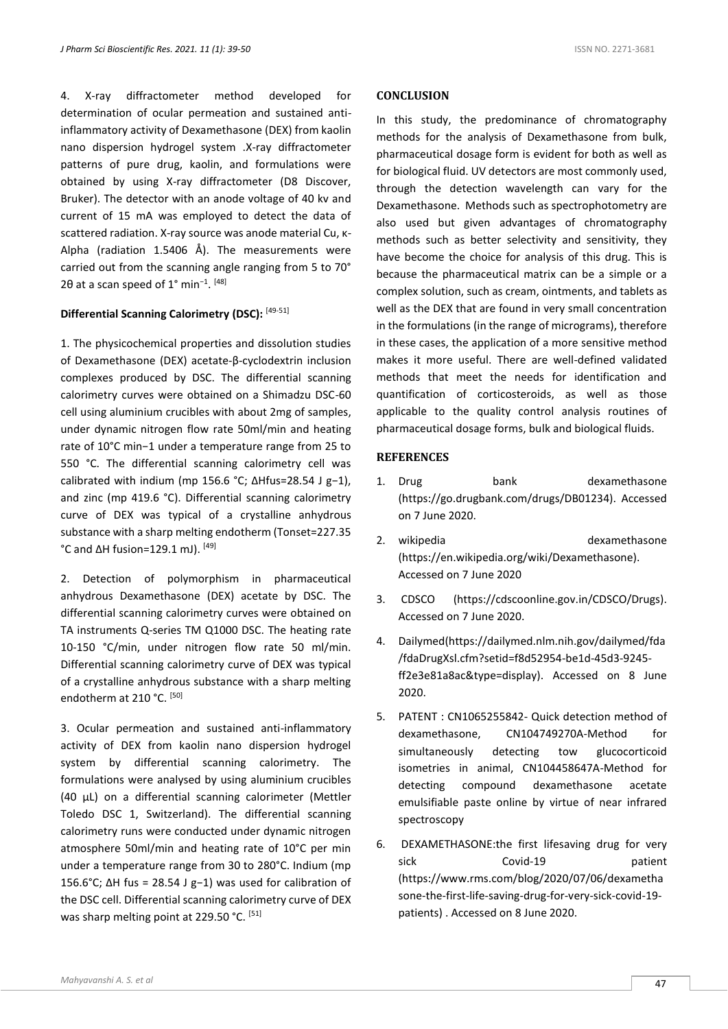4. X-ray diffractometer method developed for determination of ocular permeation and sustained antiinflammatory activity of Dexamethasone (DEX) from kaolin nano dispersion hydrogel system .X-ray diffractometer patterns of pure drug, kaolin, and formulations were obtained by using X-ray diffractometer (D8 Discover, Bruker). The detector with an anode voltage of 40 kv and current of 15 mA was employed to detect the data of scattered radiation. X-ray source was anode material Cu, κ-Alpha (radiation 1.5406 Å). The measurements were carried out from the scanning angle ranging from 5 to 70° 2θ at a scan speed of 1° min<sup>-1</sup>. <sup>[48]</sup>

# **Differential Scanning Calorimetry (DSC):** [49-51]

1. The physicochemical properties and dissolution studies of Dexamethasone (DEX) acetate-β-cyclodextrin inclusion complexes produced by DSC. The differential scanning calorimetry curves were obtained on a Shimadzu DSC-60 cell using aluminium crucibles with about 2mg of samples, under dynamic nitrogen flow rate 50ml/min and heating rate of 10°C min−1 under a temperature range from 25 to 550 °C. The differential scanning calorimetry cell was calibrated with indium (mp 156.6 °C; ΔHfus=28.54 J g−1), and zinc (mp 419.6 °C). Differential scanning calorimetry curve of DEX was typical of a crystalline anhydrous substance with a sharp melting endotherm (Tonset=227.35 °C and ΔH fusion=129.1 mJ). [49]

2. Detection of polymorphism in pharmaceutical anhydrous Dexamethasone (DEX) acetate by DSC. The differential scanning calorimetry curves were obtained on TA instruments Q-series TM Q1000 DSC. The heating rate 10-150 °C/min, under nitrogen flow rate 50 ml/min. Differential scanning calorimetry curve of DEX was typical of a crystalline anhydrous substance with a sharp melting endotherm at 210 °C. [50]

3. Ocular permeation and sustained anti-inflammatory activity of DEX from kaolin nano dispersion hydrogel system by differential scanning calorimetry. The formulations were analysed by using aluminium crucibles (40 µL) on a differential scanning calorimeter (Mettler Toledo DSC 1, Switzerland). The differential scanning calorimetry runs were conducted under dynamic nitrogen atmosphere 50ml/min and heating rate of 10°C per min under a temperature range from 30 to 280°C. Indium (mp 156.6°C; ΔH fus = 28.54 J g−1) was used for calibration of the DSC cell. Differential scanning calorimetry curve of DEX was sharp melting point at 229.50 °C. [51]

#### **CONCLUSION**

In this study, the predominance of chromatography methods for the analysis of Dexamethasone from bulk, pharmaceutical dosage form is evident for both as well as for biological fluid. UV detectors are most commonly used, through the detection wavelength can vary for the Dexamethasone. Methods such as spectrophotometry are also used but given advantages of chromatography methods such as better selectivity and sensitivity, they have become the choice for analysis of this drug. This is because the pharmaceutical matrix can be a simple or a complex solution, such as cream, ointments, and tablets as well as the DEX that are found in very small concentration in the formulations (in the range of micrograms), therefore in these cases, the application of a more sensitive method makes it more useful. There are well-defined validated methods that meet the needs for identification and quantification of corticosteroids, as well as those applicable to the quality control analysis routines of pharmaceutical dosage forms, bulk and biological fluids.

#### **REFERENCES**

- 1. Drug bank dexamethasone (https://go.drugbank.com/drugs/DB01234). Accessed on 7 June 2020.
- 2. wikipedia dexamethasone (https://en.wikipedia.org/wiki/Dexamethasone). Accessed on 7 June 2020
- 3. CDSCO (https://cdscoonline.gov.in/CDSCO/Drugs). Accessed on 7 June 2020.
- 4. Dailymed(https://dailymed.nlm.nih.gov/dailymed/fda /fdaDrugXsl.cfm?setid=f8d52954-be1d-45d3-9245 ff2e3e81a8ac&type=display). Accessed on 8 June 2020.
- 5. PATENT : CN1065255842- Quick detection method of dexamethasone, CN104749270A-Method for simultaneously detecting tow glucocorticoid isometries in animal, CN104458647A-Method for detecting compound dexamethasone acetate emulsifiable paste online by virtue of near infrared spectroscopy
- 6. DEXAMETHASONE:the first lifesaving drug for very sick Covid-19 patient (https://www.rms.com/blog/2020/07/06/dexametha sone-the-first-life-saving-drug-for-very-sick-covid-19 patients) . Accessed on 8 June 2020.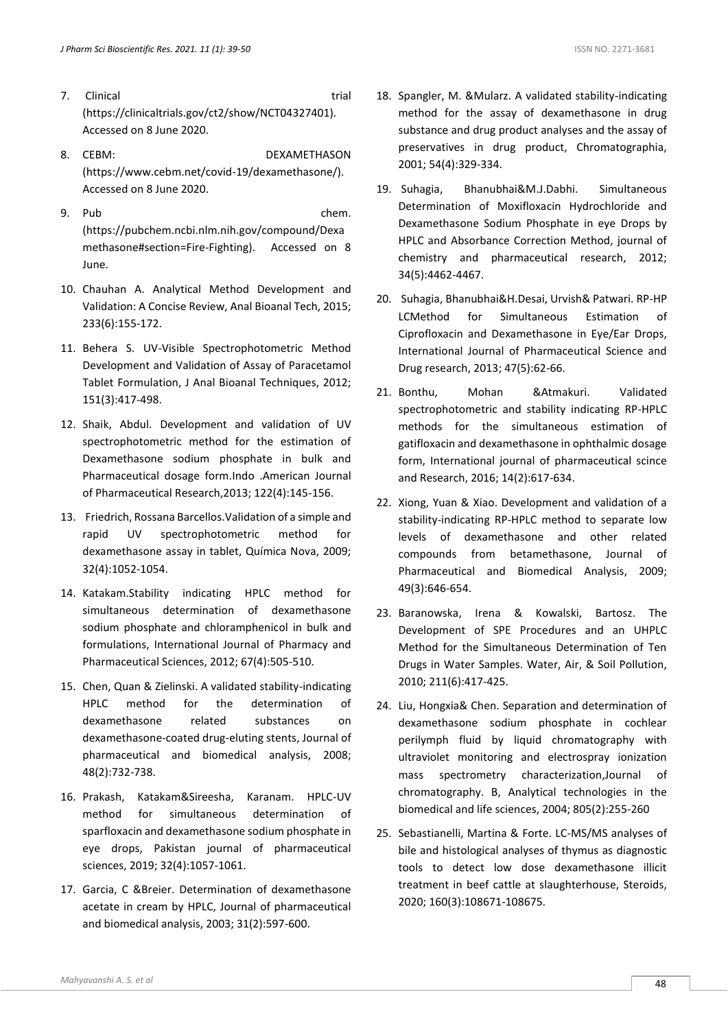- 7. Clinical trial trial (https://clinicaltrials.gov/ct2/show/NCT04327401). Accessed on 8 June 2020.
- 8. CEBM: DEXAMETHASON (https://www.cebm.net/covid-19/dexamethasone/). Accessed on 8 June 2020.
- 9. Pub chem. (https://pubchem.ncbi.nlm.nih.gov/compound/Dexa methasone#section=Fire-Fighting). Accessed on 8 June.
- 10. Chauhan A. Analytical Method Development and Validation: A Concise Review, Anal Bioanal Tech, 2015; 233(6):155-172.
- 11. Behera S. UV-Visible Spectrophotometric Method Development and Validation of Assay of Paracetamol Tablet Formulation, J Anal Bioanal Techniques, 2012; 151(3):417-498.
- 12. Shaik, Abdul. Development and validation of UV spectrophotometric method for the estimation of Dexamethasone sodium phosphate in bulk and Pharmaceutical dosage form.Indo .American Journal of Pharmaceutical Research,2013; 122(4):145-156.
- 13. Friedrich, Rossana Barcellos.Validation of a simple and rapid UV spectrophotometric method for dexamethasone assay in tablet, Química Nova, 2009; 32(4):1052-1054.
- 14. Katakam.Stability indicating HPLC method for simultaneous determination of dexamethasone sodium phosphate and chloramphenicol in bulk and formulations, International Journal of Pharmacy and Pharmaceutical Sciences, 2012; 67(4):505-510.
- 15. Chen, Quan & Zielinski. A validated stability-indicating HPLC method for the determination of dexamethasone related substances on dexamethasone-coated drug-eluting stents, Journal of pharmaceutical and biomedical analysis, 2008; 48(2):732-738.
- 16. Prakash, Katakam&Sireesha, Karanam. HPLC-UV method for simultaneous determination of sparfloxacin and dexamethasone sodium phosphate in eye drops, Pakistan journal of pharmaceutical sciences, 2019; 32(4):1057-1061.
- 17. Garcia, C &Breier. Determination of dexamethasone acetate in cream by HPLC, Journal of pharmaceutical and biomedical analysis, 2003; 31(2):597-600.
- 18. Spangler, M. &Mularz. A validated stability-indicating method for the assay of dexamethasone in drug substance and drug product analyses and the assay of preservatives in drug product, Chromatographia, 2001; 54(4):329-334.
- 19. Suhagia, Bhanubhai&M.J.Dabhi. Simultaneous Determination of Moxifloxacin Hydrochloride and Dexamethasone Sodium Phosphate in eye Drops by HPLC and Absorbance Correction Method, journal of chemistry and pharmaceutical research, 2012; 34(5):4462-4467.
- 20. Suhagia, Bhanubhai&H.Desai, Urvish& Patwari. RP-HP LCMethod for Simultaneous Estimation of Ciprofloxacin and Dexamethasone in Eye/Ear Drops, International Journal of Pharmaceutical Science and Drug research, 2013; 47(5):62-66.
- 21. Bonthu, Mohan &Atmakuri. Validated spectrophotometric and stability indicating RP-HPLC methods for the simultaneous estimation of gatifloxacin and dexamethasone in ophthalmic dosage form, International journal of pharmaceutical scince and Research, 2016; 14(2):617-634.
- 22. Xiong, Yuan & Xiao. Development and validation of a stability-indicating RP-HPLC method to separate low levels of dexamethasone and other related compounds from betamethasone, Journal of Pharmaceutical and Biomedical Analysis, 2009; 49(3):646-654.
- 23. Baranowska, Irena & Kowalski, Bartosz. The Development of SPE Procedures and an UHPLC Method for the Simultaneous Determination of Ten Drugs in Water Samples. Water, Air, & Soil Pollution, 2010; 211(6):417-425.
- 24. Liu, Hongxia& Chen. Separation and determination of dexamethasone sodium phosphate in cochlear perilymph fluid by liquid chromatography with ultraviolet monitoring and electrospray ionization mass spectrometry characterization,Journal of chromatography. B, Analytical technologies in the biomedical and life sciences, 2004; 805(2):255-260
- 25. Sebastianelli, Martina & Forte. LC-MS/MS analyses of bile and histological analyses of thymus as diagnostic tools to detect low dose dexamethasone illicit treatment in beef cattle at slaughterhouse, Steroids, 2020; 160(3):108671-108675.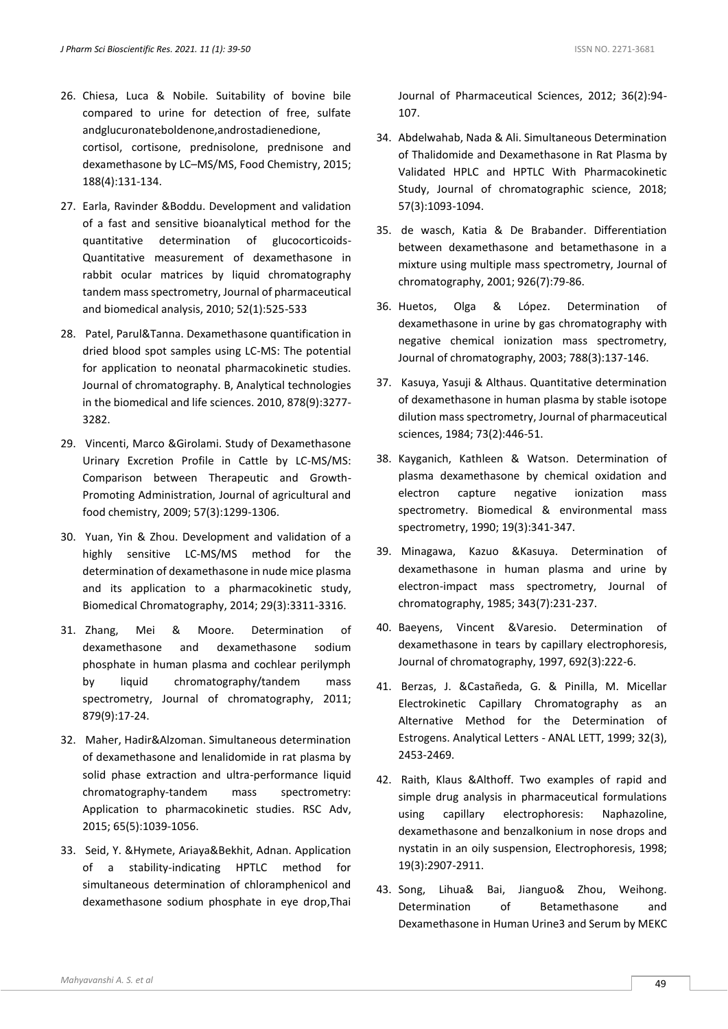- 26. Chiesa, Luca & Nobile. Suitability of bovine bile compared to urine for detection of free, sulfate andglucuronateboldenone,androstadienedione, cortisol, cortisone, prednisolone, prednisone and dexamethasone by LC–MS/MS, Food Chemistry, 2015; 188(4):131-134.
- 27. Earla, Ravinder &Boddu. Development and validation of a fast and sensitive bioanalytical method for the quantitative determination of glucocorticoids-Quantitative measurement of dexamethasone in rabbit ocular matrices by liquid chromatography tandem mass spectrometry, Journal of pharmaceutical and biomedical analysis, 2010; 52(1):525-533
- 28. Patel, Parul&Tanna. Dexamethasone quantification in dried blood spot samples using LC-MS: The potential for application to neonatal pharmacokinetic studies. Journal of chromatography. B, Analytical technologies in the biomedical and life sciences. 2010, 878(9):3277- 3282.
- 29. Vincenti, Marco &Girolami. Study of Dexamethasone Urinary Excretion Profile in Cattle by LC-MS/MS: Comparison between Therapeutic and Growth-Promoting Administration, Journal of agricultural and food chemistry, 2009; 57(3):1299-1306.
- 30. Yuan, Yin & Zhou. Development and validation of a highly sensitive LC-MS/MS method for the determination of dexamethasone in nude mice plasma and its application to a pharmacokinetic study, Biomedical Chromatography, 2014; 29(3):3311-3316.
- 31. Zhang, Mei & Moore. Determination of dexamethasone and dexamethasone sodium phosphate in human plasma and cochlear perilymph by liquid chromatography/tandem mass spectrometry, Journal of chromatography, 2011; 879(9):17-24.
- 32. Maher, Hadir&Alzoman. Simultaneous determination of dexamethasone and lenalidomide in rat plasma by solid phase extraction and ultra-performance liquid chromatography-tandem mass spectrometry: Application to pharmacokinetic studies. RSC Adv, 2015; 65(5):1039-1056.
- 33. Seid, Y. &Hymete, Ariaya&Bekhit, Adnan. Application of a stability-indicating HPTLC method for simultaneous determination of chloramphenicol and dexamethasone sodium phosphate in eye drop,Thai

Journal of Pharmaceutical Sciences, 2012; 36(2):94- 107.

- 34. Abdelwahab, Nada & Ali. Simultaneous Determination of Thalidomide and Dexamethasone in Rat Plasma by Validated HPLC and HPTLC With Pharmacokinetic Study, Journal of chromatographic science, 2018; 57(3):1093-1094.
- 35. de wasch, Katia & De Brabander. Differentiation between dexamethasone and betamethasone in a mixture using multiple mass spectrometry, Journal of chromatography, 2001; 926(7):79-86.
- 36. Huetos, Olga & López. Determination of dexamethasone in urine by gas chromatography with negative chemical ionization mass spectrometry, Journal of chromatography, 2003; 788(3):137-146.
- 37. Kasuya, Yasuji & Althaus. Quantitative determination of dexamethasone in human plasma by stable isotope dilution mass spectrometry, Journal of pharmaceutical sciences, 1984; 73(2):446-51.
- 38. Kayganich, Kathleen & Watson. Determination of plasma dexamethasone by chemical oxidation and electron capture negative ionization mass spectrometry. Biomedical & environmental mass spectrometry, 1990; 19(3):341-347.
- 39. Minagawa, Kazuo &Kasuya. Determination of dexamethasone in human plasma and urine by electron-impact mass spectrometry, Journal of chromatography, 1985; 343(7):231-237.
- 40. Baeyens, Vincent &Varesio. Determination of dexamethasone in tears by capillary electrophoresis, Journal of chromatography, 1997, 692(3):222-6.
- 41. Berzas, J. &Castañeda, G. & Pinilla, M. Micellar Electrokinetic Capillary Chromatography as an Alternative Method for the Determination of Estrogens. Analytical Letters - ANAL LETT, 1999; 32(3), 2453-2469.
- 42. Raith, Klaus &Althoff. Two examples of rapid and simple drug analysis in pharmaceutical formulations using capillary electrophoresis: Naphazoline, dexamethasone and benzalkonium in nose drops and nystatin in an oily suspension, Electrophoresis, 1998; 19(3):2907-2911.
- 43. Song, Lihua& Bai, Jianguo& Zhou, Weihong. Determination of Betamethasone and Dexamethasone in Human Urine3 and Serum by MEKC